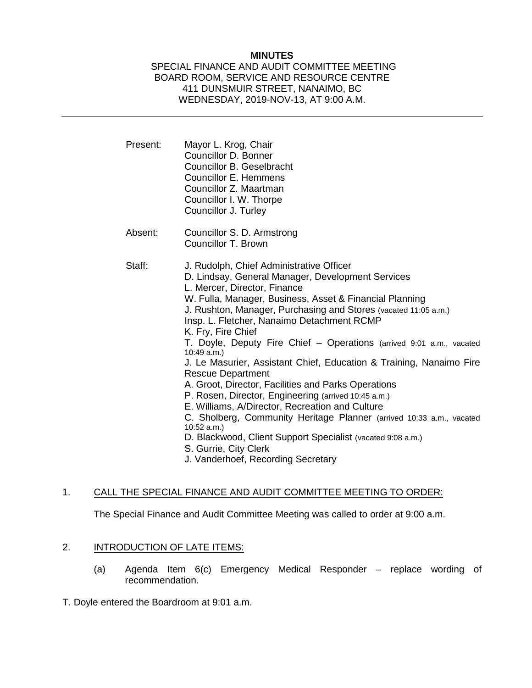## **MINUTES**

### SPECIAL FINANCE AND AUDIT COMMITTEE MEETING BOARD ROOM, SERVICE AND RESOURCE CENTRE 411 DUNSMUIR STREET, NANAIMO, BC WEDNESDAY, 2019-NOV-13, AT 9:00 A.M.

| Present: | Mayor L. Krog, Chair<br>Councillor D. Bonner<br>Councillor B. Geselbracht<br>Councillor E. Hemmens<br>Councillor Z. Maartman<br>Councillor I. W. Thorpe<br>Councillor J. Turley                                                                                                                                                                                                                                                                                                                                                                                                                                                                                                                                                                                                                                                                                                                                 |
|----------|-----------------------------------------------------------------------------------------------------------------------------------------------------------------------------------------------------------------------------------------------------------------------------------------------------------------------------------------------------------------------------------------------------------------------------------------------------------------------------------------------------------------------------------------------------------------------------------------------------------------------------------------------------------------------------------------------------------------------------------------------------------------------------------------------------------------------------------------------------------------------------------------------------------------|
| Absent:  | Councillor S. D. Armstrong<br>Councillor T. Brown                                                                                                                                                                                                                                                                                                                                                                                                                                                                                                                                                                                                                                                                                                                                                                                                                                                               |
| Staff:   | J. Rudolph, Chief Administrative Officer<br>D. Lindsay, General Manager, Development Services<br>L. Mercer, Director, Finance<br>W. Fulla, Manager, Business, Asset & Financial Planning<br>J. Rushton, Manager, Purchasing and Stores (vacated 11:05 a.m.)<br>Insp. L. Fletcher, Nanaimo Detachment RCMP<br>K. Fry, Fire Chief<br>T. Doyle, Deputy Fire Chief - Operations (arrived 9:01 a.m., vacated<br>10:49 a.m.)<br>J. Le Masurier, Assistant Chief, Education & Training, Nanaimo Fire<br><b>Rescue Department</b><br>A. Groot, Director, Facilities and Parks Operations<br>P. Rosen, Director, Engineering (arrived 10:45 a.m.)<br>E. Williams, A/Director, Recreation and Culture<br>C. Sholberg, Community Heritage Planner (arrived 10:33 a.m., vacated<br>10:52 a.m.<br>D. Blackwood, Client Support Specialist (vacated 9:08 a.m.)<br>S. Gurrie, City Clerk<br>J. Vanderhoef, Recording Secretary |

## 1. CALL THE SPECIAL FINANCE AND AUDIT COMMITTEE MEETING TO ORDER:

The Special Finance and Audit Committee Meeting was called to order at 9:00 a.m.

# 2. **INTRODUCTION OF LATE ITEMS:**

- (a) Agenda Item 6(c) Emergency Medical Responder replace wording of recommendation.
- T. Doyle entered the Boardroom at 9:01 a.m.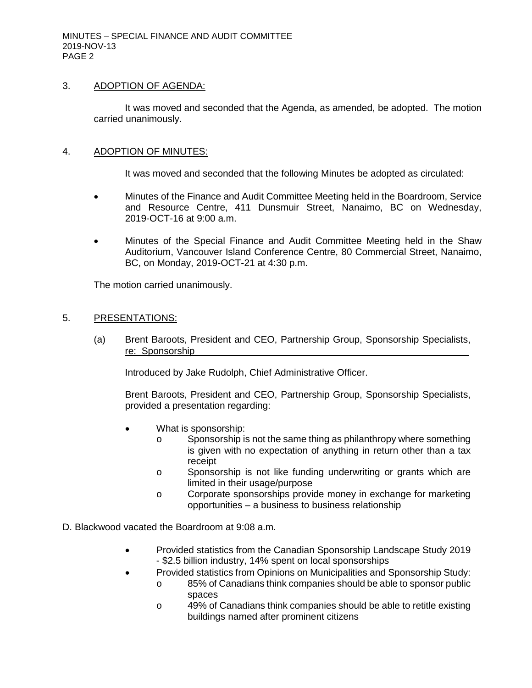## 3. ADOPTION OF AGENDA:

It was moved and seconded that the Agenda, as amended, be adopted. The motion carried unanimously.

### 4. ADOPTION OF MINUTES:

It was moved and seconded that the following Minutes be adopted as circulated:

- Minutes of the Finance and Audit Committee Meeting held in the Boardroom, Service and Resource Centre, 411 Dunsmuir Street, Nanaimo, BC on Wednesday, 2019-OCT-16 at 9:00 a.m.
- Minutes of the Special Finance and Audit Committee Meeting held in the Shaw Auditorium, Vancouver Island Conference Centre, 80 Commercial Street, Nanaimo, BC, on Monday, 2019-OCT-21 at 4:30 p.m.

The motion carried unanimously.

### 5. PRESENTATIONS:

(a) Brent Baroots, President and CEO, Partnership Group, Sponsorship Specialists, re: Sponsorship

Introduced by Jake Rudolph, Chief Administrative Officer.

Brent Baroots, President and CEO, Partnership Group, Sponsorship Specialists, provided a presentation regarding:

- What is sponsorship:
	- o Sponsorship is not the same thing as philanthropy where something is given with no expectation of anything in return other than a tax receipt
	- o Sponsorship is not like funding underwriting or grants which are limited in their usage/purpose
	- o Corporate sponsorships provide money in exchange for marketing opportunities – a business to business relationship
- D. Blackwood vacated the Boardroom at 9:08 a.m.
	- Provided statistics from the Canadian Sponsorship Landscape Study 2019 - \$2.5 billion industry, 14% spent on local sponsorships
	- Provided statistics from Opinions on Municipalities and Sponsorship Study:
		- o 85% of Canadians think companies should be able to sponsor public spaces
		- o 49% of Canadians think companies should be able to retitle existing buildings named after prominent citizens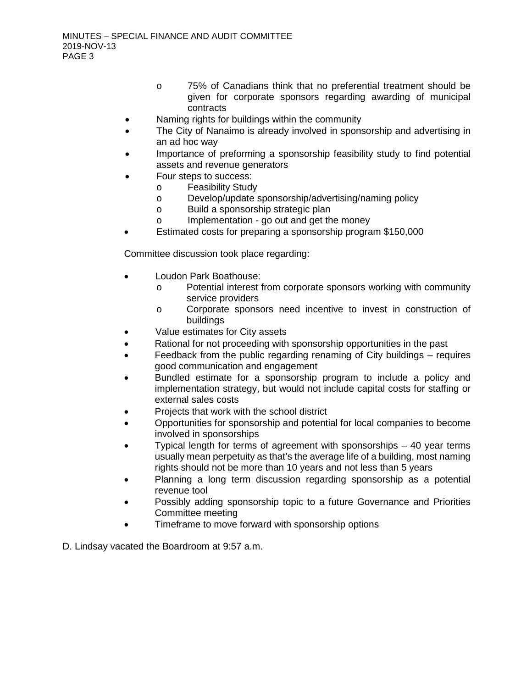- o 75% of Canadians think that no preferential treatment should be given for corporate sponsors regarding awarding of municipal contracts
- Naming rights for buildings within the community
- The City of Nanaimo is already involved in sponsorship and advertising in an ad hoc way
- Importance of preforming a sponsorship feasibility study to find potential assets and revenue generators
- Four steps to success:
	- o Feasibility Study<br>
	o Develop/update s
	- o Develop/update sponsorship/advertising/naming policy<br>
	o Build a sponsorship strategic plan
	- o Build a sponsorship strategic plan<br>o lmplementation go out and get th
	- Implementation go out and get the money
- Estimated costs for preparing a sponsorship program \$150,000

Committee discussion took place regarding:

- Loudon Park Boathouse:
	- o Potential interest from corporate sponsors working with community service providers
	- o Corporate sponsors need incentive to invest in construction of buildings
- Value estimates for City assets
- Rational for not proceeding with sponsorship opportunities in the past
- Feedback from the public regarding renaming of City buildings requires good communication and engagement
- Bundled estimate for a sponsorship program to include a policy and implementation strategy, but would not include capital costs for staffing or external sales costs
- Projects that work with the school district
- Opportunities for sponsorship and potential for local companies to become involved in sponsorships
- Typical length for terms of agreement with sponsorships  $-40$  year terms usually mean perpetuity as that's the average life of a building, most naming rights should not be more than 10 years and not less than 5 years
- Planning a long term discussion regarding sponsorship as a potential revenue tool
- Possibly adding sponsorship topic to a future Governance and Priorities Committee meeting
- Timeframe to move forward with sponsorship options

D. Lindsay vacated the Boardroom at 9:57 a.m.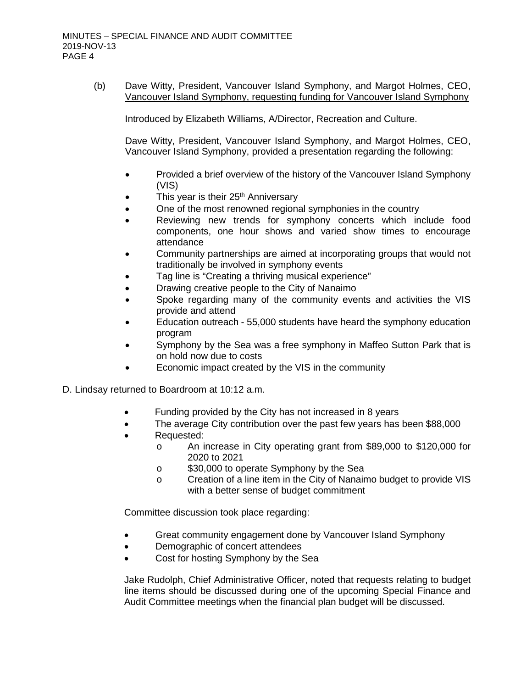(b) Dave Witty, President, Vancouver Island Symphony, and Margot Holmes, CEO, Vancouver Island Symphony, requesting funding for Vancouver Island Symphony

Introduced by Elizabeth Williams, A/Director, Recreation and Culture.

Dave Witty, President, Vancouver Island Symphony, and Margot Holmes, CEO, Vancouver Island Symphony, provided a presentation regarding the following:

- Provided a brief overview of the history of the Vancouver Island Symphony (VIS)
- This year is their 25<sup>th</sup> Anniversarv
- One of the most renowned regional symphonies in the country
- Reviewing new trends for symphony concerts which include food components, one hour shows and varied show times to encourage attendance
- Community partnerships are aimed at incorporating groups that would not traditionally be involved in symphony events
- Tag line is "Creating a thriving musical experience"
- Drawing creative people to the City of Nanaimo
- Spoke regarding many of the community events and activities the VIS provide and attend
- Education outreach 55,000 students have heard the symphony education program
- Symphony by the Sea was a free symphony in Maffeo Sutton Park that is on hold now due to costs
- Economic impact created by the VIS in the community

D. Lindsay returned to Boardroom at 10:12 a.m.

- Funding provided by the City has not increased in 8 years
- The average City contribution over the past few years has been \$88,000
- Requested:
	- o An increase in City operating grant from \$89,000 to \$120,000 for 2020 to 2021
	- o \$30,000 to operate Symphony by the Sea
	- o Creation of a line item in the City of Nanaimo budget to provide VIS with a better sense of budget commitment

Committee discussion took place regarding:

- Great community engagement done by Vancouver Island Symphony
- Demographic of concert attendees
- Cost for hosting Symphony by the Sea

Jake Rudolph, Chief Administrative Officer, noted that requests relating to budget line items should be discussed during one of the upcoming Special Finance and Audit Committee meetings when the financial plan budget will be discussed.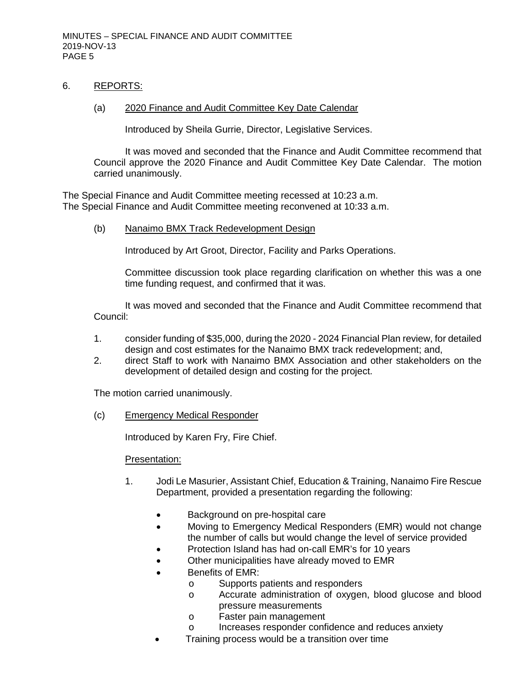### 6. REPORTS:

#### (a) 2020 Finance and Audit Committee Key Date Calendar

Introduced by Sheila Gurrie, Director, Legislative Services.

It was moved and seconded that the Finance and Audit Committee recommend that Council approve the 2020 Finance and Audit Committee Key Date Calendar. The motion carried unanimously.

The Special Finance and Audit Committee meeting recessed at 10:23 a.m. The Special Finance and Audit Committee meeting reconvened at 10:33 a.m.

(b) Nanaimo BMX Track Redevelopment Design

Introduced by Art Groot, Director, Facility and Parks Operations.

Committee discussion took place regarding clarification on whether this was a one time funding request, and confirmed that it was.

It was moved and seconded that the Finance and Audit Committee recommend that Council:

- 1. consider funding of \$35,000, during the 2020 2024 Financial Plan review, for detailed design and cost estimates for the Nanaimo BMX track redevelopment; and,
- 2. direct Staff to work with Nanaimo BMX Association and other stakeholders on the development of detailed design and costing for the project.

The motion carried unanimously.

(c) Emergency Medical Responder

Introduced by Karen Fry, Fire Chief.

#### Presentation:

- 1. Jodi Le Masurier, Assistant Chief, Education & Training, Nanaimo Fire Rescue Department, provided a presentation regarding the following:
	- Background on pre-hospital care
	- Moving to Emergency Medical Responders (EMR) would not change the number of calls but would change the level of service provided
	- Protection Island has had on-call EMR's for 10 years
	- Other municipalities have already moved to EMR
	- Benefits of EMR:
		- o Supports patients and responders<br>
		o Accurate administration of oxyger
			- Accurate administration of oxygen, blood glucose and blood pressure measurements
		- o Faster pain management
		- o Increases responder confidence and reduces anxiety
		- Training process would be a transition over time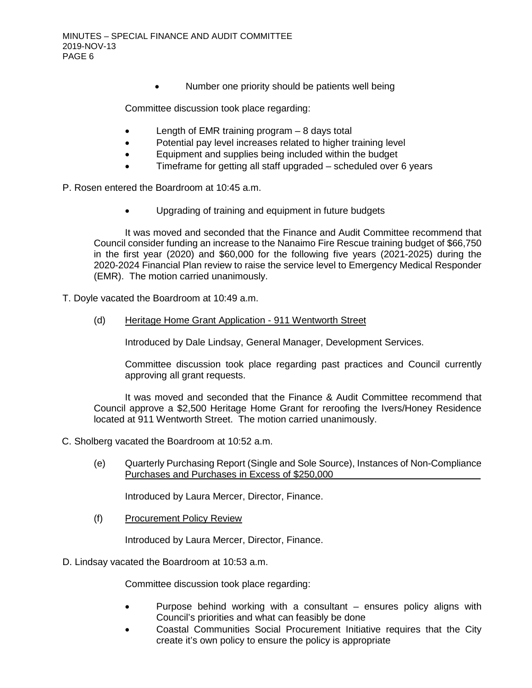• Number one priority should be patients well being

Committee discussion took place regarding:

- Length of EMR training program  $-8$  days total
- Potential pay level increases related to higher training level
- Equipment and supplies being included within the budget
- Timeframe for getting all staff upgraded scheduled over 6 years

P. Rosen entered the Boardroom at 10:45 a.m.

• Upgrading of training and equipment in future budgets

It was moved and seconded that the Finance and Audit Committee recommend that Council consider funding an increase to the Nanaimo Fire Rescue training budget of \$66,750 in the first year (2020) and \$60,000 for the following five years (2021-2025) during the 2020-2024 Financial Plan review to raise the service level to Emergency Medical Responder (EMR). The motion carried unanimously.

T. Doyle vacated the Boardroom at 10:49 a.m.

(d) Heritage Home Grant Application - 911 Wentworth Street

Introduced by Dale Lindsay, General Manager, Development Services.

Committee discussion took place regarding past practices and Council currently approving all grant requests.

It was moved and seconded that the Finance & Audit Committee recommend that Council approve a \$2,500 Heritage Home Grant for reroofing the Ivers/Honey Residence located at 911 Wentworth Street. The motion carried unanimously.

- C. Sholberg vacated the Boardroom at 10:52 a.m.
	- (e) Quarterly Purchasing Report (Single and Sole Source), Instances of Non-Compliance Purchases and Purchases in Excess of \$250,000

Introduced by Laura Mercer, Director, Finance.

(f) Procurement Policy Review

Introduced by Laura Mercer, Director, Finance.

#### D. Lindsay vacated the Boardroom at 10:53 a.m.

Committee discussion took place regarding:

- Purpose behind working with a consultant ensures policy aligns with Council's priorities and what can feasibly be done
- Coastal Communities Social Procurement Initiative requires that the City create it's own policy to ensure the policy is appropriate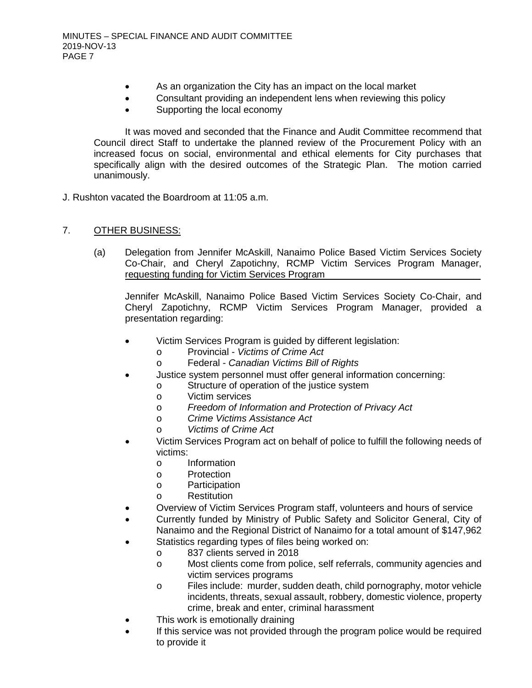- As an organization the City has an impact on the local market
- Consultant providing an independent lens when reviewing this policy
- Supporting the local economy

It was moved and seconded that the Finance and Audit Committee recommend that Council direct Staff to undertake the planned review of the Procurement Policy with an increased focus on social, environmental and ethical elements for City purchases that specifically align with the desired outcomes of the Strategic Plan. The motion carried unanimously.

- J. Rushton vacated the Boardroom at 11:05 a.m.
- 7. OTHER BUSINESS:
	- (a) Delegation from Jennifer McAskill, Nanaimo Police Based Victim Services Society Co-Chair, and Cheryl Zapotichny, RCMP Victim Services Program Manager, requesting funding for Victim Services Program

Jennifer McAskill, Nanaimo Police Based Victim Services Society Co-Chair, and Cheryl Zapotichny, RCMP Victim Services Program Manager, provided a presentation regarding:

- Victim Services Program is guided by different legislation:
	- o Provincial *Victims of Crime Act*
		- o Federal *Canadian Victims Bill of Rights*
- Justice system personnel must offer general information concerning:
	- o Structure of operation of the justice system
	- o Victim services
	- o *Freedom of Information and Protection of Privacy Act*
	- o *Crime Victims Assistance Act*
	- o *Victims of Crime Act*
- Victim Services Program act on behalf of police to fulfill the following needs of victims:
	- o Information
	- o Protection
	- o Participation
	- o Restitution
- Overview of Victim Services Program staff, volunteers and hours of service
- Currently funded by Ministry of Public Safety and Solicitor General, City of Nanaimo and the Regional District of Nanaimo for a total amount of \$147,962
	- Statistics regarding types of files being worked on:
		- o 837 clients served in 2018
			- o Most clients come from police, self referrals, community agencies and victim services programs
			- o Files include: murder, sudden death, child pornography, motor vehicle incidents, threats, sexual assault, robbery, domestic violence, property crime, break and enter, criminal harassment
- This work is emotionally draining
- If this service was not provided through the program police would be required to provide it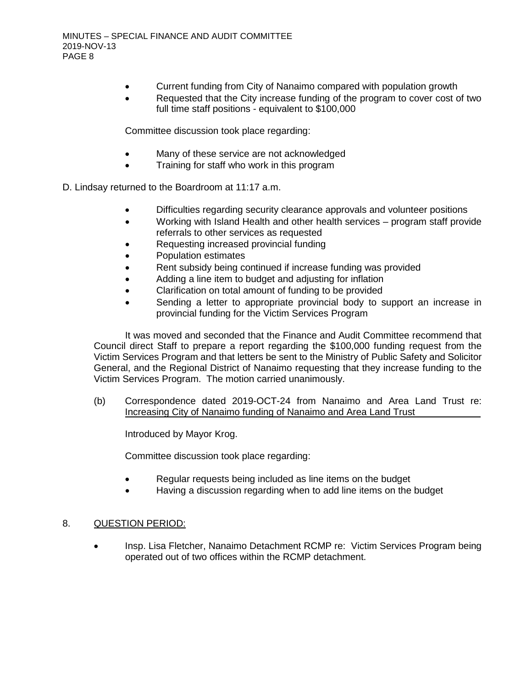- Current funding from City of Nanaimo compared with population growth
- Requested that the City increase funding of the program to cover cost of two full time staff positions - equivalent to \$100,000

Committee discussion took place regarding:

- Many of these service are not acknowledged
- Training for staff who work in this program

D. Lindsay returned to the Boardroom at 11:17 a.m.

- Difficulties regarding security clearance approvals and volunteer positions
- Working with Island Health and other health services program staff provide referrals to other services as requested
- Requesting increased provincial funding
- Population estimates
- Rent subsidy being continued if increase funding was provided
- Adding a line item to budget and adjusting for inflation
- Clarification on total amount of funding to be provided
- Sending a letter to appropriate provincial body to support an increase in provincial funding for the Victim Services Program

It was moved and seconded that the Finance and Audit Committee recommend that Council direct Staff to prepare a report regarding the \$100,000 funding request from the Victim Services Program and that letters be sent to the Ministry of Public Safety and Solicitor General, and the Regional District of Nanaimo requesting that they increase funding to the Victim Services Program. The motion carried unanimously.

(b) Correspondence dated 2019-OCT-24 from Nanaimo and Area Land Trust re: Increasing City of Nanaimo funding of Nanaimo and Area Land Trust

Introduced by Mayor Krog.

Committee discussion took place regarding:

- Regular requests being included as line items on the budget
- Having a discussion regarding when to add line items on the budget

# 8. QUESTION PERIOD:

• Insp. Lisa Fletcher, Nanaimo Detachment RCMP re: Victim Services Program being operated out of two offices within the RCMP detachment.